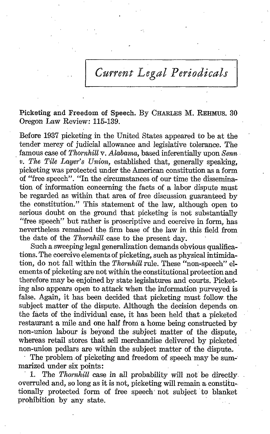Current Legal Periodicals

Picketing and Freedom of Speech. By CHARLES M. REHMUS. <sup>30</sup> Oregon Law Review: 115-139.

Before 1937 picketing in the United States appeared to be at the tender mercy of judicial allowance and legislative tolerance. The famous case of Thornhill v. Alabama, based inferentially upon Senn  $v.$  The Tile Layer's Union, established that, generally speaking, picketing was protected under the American constitution as a form of "free speech". "In the circumstances of our time the dissemination of information concerning the facts of a labor dispute must be regarded as within that area of free discussion guaranteed by the constitution ." This statement of the law, although open to serious doubt on the ground that picketing is not substantially "free speech" but rather is proscriptive and coercive in form, has nevertheless remained the firm base of the law in this field from the date of the Thornhill case to the present day.

Such a sweeping legal generalization demands obvious qualifications. The coercive elements of picketing, such as physical intimidation, do not fall within the Thornhill rule. These "non-speech" el ements of picketing are not within the constitutional protection and therefore may be enjoined by state legislatures and courts. Picketing also appears open to attack when the information purveyed is false. Again, it has been decided that picketing must follow the subject matter of the dispute. Although the decision depends on the facts of the individual case, it has been held that a picketed restaurant a mile and one half from a home being constructed by non-union labour is beyond the subject matter of the dispute, whereas retail stores that sell merchandise delivered by picketed non-union pedlars are within the subject matter of the dispute..

The problem of picketing and freedom of speech may be summarized under six points:<br>1. The Thornhill case

The Thornhill case in all probability will not be directly. overruled and, so long as it is not, picketing will remain a constitu-, tionally protected form of free speech not subject to blanket prohibition by any state.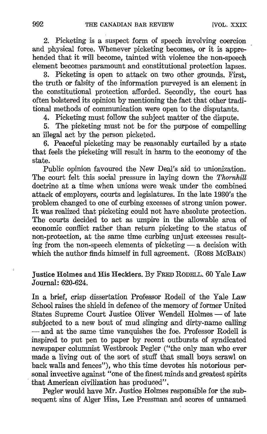2. Picketing is a suspect form of speech involving coercion and physical force. Whenever picketing becomes, or it is apprehended that it will become, tainted with violence the non-speech element becomes paramount and constitutional protection lapses .

3. Picketing is open to attack on two other grounds. First, the truth or falsity of the information purveyed is an element in the constitutional protection afforded. Secondly, the court has often bolstered its opinion by mentioning the fact that other traditional methods of communication were open to the disputants.

4. Picketing must follow the subject matter of the dispute.

5. The picketing must not be for the purpose of compelling an illegal act by the person picketed.

6. Peaceful picketing may be reasonably curtailed by a state that feels the picketing will result in harm to the economy of the state.

Public opinion favoured the New Deal's aid to unionization. The court felt this social pressure in laying down the Thornhill doctrine at a time when unions were weak under the combined attack of employers, courts and legislatures. In the late 1930's the problem changed to one of curbing excesses of strong union power. It was realized that picketing could not have absolute protection. The courts decided to act as umpire in the allowable area of economic conflict rather than return picketing to the status of non-protection, at the same time curbing unjust excesses resulting from the non-speech elements of picketing  $-$  a decision with which the author finds himself in full agreement. (Ross McBAIN)

## Justice Holmes and His Hecklers. By FRED RODELL. <sup>60</sup> Yale Law Journal: 620-624.

In a brief, crisp dissertation Professor Rodell of the Yale Law School raises the shield in defence of the memory of former United States Supreme Court Justice Oliver Wendell Holmes — of late subjected to a new bout of mud slinging and dirty-name calling -and at the same time vanquishes the foe. Professor Rodell is inspired to put pen to paper by recent outbursts of syndicated newspaper columnist Westbrook Pegler ("the only man who ever made a living out of the sort of stuff that small boys scrawl on back walls and fences"), who this time devotes his notorious personal invective against "one of the finest minds and greatest spirits that American civilization has produced".

Pegler would have Mr. Justice Holmes responsible for the subsequent sins of Alger Hiss, Lee Pressman and scores of unnamed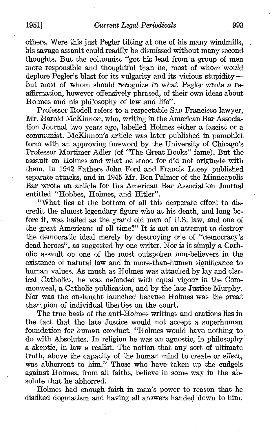others. Were this just Pegler tilting at one of his many windmills, his savage assault could readily be dismissed without many second thoughts. Put the columnist "got his lead from a group of men more responsible and thoughtful than he, most of whom would deplore Pegler's blast for its vulgarity and its vicious stupiditybut most of whom should recognize in what Pegler wrote a reaffirmation, however offensively phrased, of their own ideas about Holmes and his philosophy of law and life".

Professor Rodell refers to a respectable San Francisco lawyer, Mr. Harold McKinnon, who, writing in the American Par Association Journal two years ago, labelled Holmes either a fascist or a communist. McKinnon's article was later published in pamphlet form with an approving foreword by the University of Chicago's Professor Mortimer Adler (of "The Great Books" fame). But the assault on Holmes and- what he stood for did not originate with them. In 1942 Fathers John Ford and Francis Lucey published separate attacks, and in <sup>1945</sup> Mr. Ben Palmer of the Minneapolis Bar wrote an article for the American Bar Association 'Journal entitled "Hobbes, Holmes, and Hitler".

"What lies at the bottom of all this desperate effort to discredit the almost legendary figure who at his death, and long before it, was hailed as the'grand old man of U.S. law, and one of the great Americans of all time?" It is not an attempt to destroy the democratic ideal merely by destroying one of "democracy's dead heroes", as suggested by one writer. Nor is it simply a Catholic assault on one of the most outspoken non-believers in the existence of natural law and in more-than-human significance to human values. As much as Holmes was attacked by lay and clerical Catholics, he was defended with equal vigour in the Commonweal, a Catholic publication, and by the late Justice Murphy. Nor was the onslaught launched because Holmes was the great champion of individual liberties on the court.

The true basis of the anti-Holmes writings and orations lies in the fact that the late Justice would not accept a superhuman foundation for human conduct. "Holmes would have nothing to do with Absolutes. In religion he was an agnostic, in philosophy a skeptic, in law a realist. The notion that any sort of ultimate truth, above the capacity of the human mind to create or effect, was abhorrent to him." Those who have taken up the cudgels against Holmes, from all faiths, believe in some way in the absolute that he abhorred.

Holmes had enough faith in man's power to reason that he disliked dogmatism and having all answers handed down to him.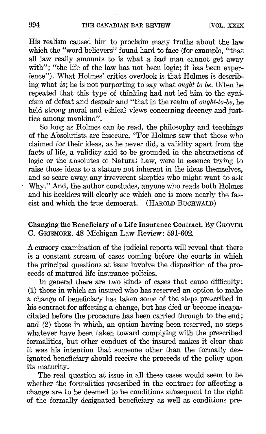His realism caused him to proclaim many truths about the law which the "word believers" found hard to face (for example, "that all law really amounts to is what a bad man cannot get away with"; "the life of the law has not been logic; it has been experience"). What Holmes' critics overlook is that Holmes is describing what is ; he is not purporting to say what ought to be. Often he repeated that this type of thinking had not led him to the cynicism of defeat and despair and "that in the realm of ought-to-be, he held strong moral and ethical views concerning decency and justtice among mankind".

So long as Holmes can be read, the philosophy and teachings of the Absolutists are insecure . "For Holmes saw that those who claimed for their ideas, as he never did, a validity apart from the facts of life, a validity said to be grounded in the abstractions of logic or the absolutes of Natural Law, were in essence trying to raise those ideas to a stature not inherent in the ideas themselves, and so scare away, any irreverent skeptics who might want to ask Why." And, the author concludes, anyone who reads both Holmes and his hecklers will clearly see which one is more nearly the fascist and which the true democrat. (HAROLD BUCHWALD)

Changing the Beneficiary of a Life Insurance Contract. By GROVER C. GRISMORE. 48 Michigan Law Review: 591-602.

Acursory examination of the judicial reports will reveal that there is a constant stream of cases coming before the courts in which the principal questions at issue involve the disposition of the proceeds of matured life insurance policies.

In general there are two kinds of cases that cause difficulty: (1) those in which an insured who has reserved an option to make a change of beneficiary has taken some of the steps prescribed in his contract for affecting a change, but has died or become incapacitated before the procedure has been carried through to the end ; and (2) those in which, an option having been reserved, no steps whatever have been taken toward complying with the prescribed formalities, but other conduct of the insured makes it clear that it was his intention that someone other than the formally designated beneficiary should receive the proceeds of the policy upon its maturity.

The real question at issue in all these cases would seem to be whether the formalities prescribed in the contract for affecting a change are to be deemed to be conditions subsequent to the right of the formally designated beneficiary as well as conditions pre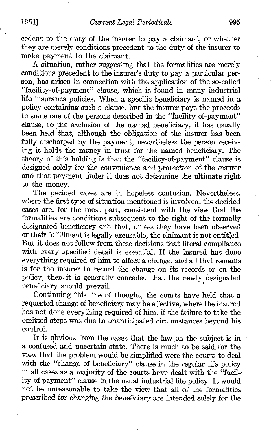cedent to the duty of the insurer to pay a claimant, or whether they are merely conditions precedent to the duty of the insurer to make payment to the claimant.

A. situation, rather suggesting that the formalities are merely conditions precedent to the insurer's duty to pay a particular person, has arisen in connection with the application of the so-called "facility-of-payment" clause, which is found in many industrial life insurance policies. When a specific beneficiary is named in a policy containing such a clause, but the insurer pays the proceeds to some one of the persons described in the "facility-of-payment" clause; to the exclusion of the named beneficiary, it has usually been held that, although the obligation of the insurer has been fully discharged by the payment, nevertheless the person receiving it holds the money in trust for the named beneficiary. The theory of this holding is that the "facility-of-payment" clause is designed solely for the convenience and protection of the insurer and that payment under it does not determine the ultimate right to the money.

The decided cases are in hopeless confusion. Nevertheless, where the first type of situation mentioned is involved, the decided cases are, for the most part, consistent with the view that the formalities are conditions subsequent to the right of the formally designated beneficiary and that, unless they have been observed, or their fulfillment is legally excusable, the claimant is not entitled . But it does not follow from these decisions that literal compliance with every specified detail is essential. If the insured has done everything required of him to affect a change, and all that remains is for the insurer to record- the change on its records or on the policy, then\_ it is generally conceded that the newly designated beneficiary should prevail.

Continuing this line of thought, the courts have held that a requested change of beneficiary may be effective, where the insured has not done everything required of him, if the failure to take the omitted steps was due to unanticipated circumstances beyond his control .

It is obvious from the cases that the law on the subject is in a confused and uncertain state. There is much to be said, for the view that the problem would be simplified were the courts to deal with the "change of beneficiary" clause in the regular life policy in all cases as a majority of the courts have dealt with the "facil- ity of payment" clause in, the usual industrial life policy. It would not be unreasonable to take the view that all of the formalities prescribed for changing the beneficiary are intended solely for the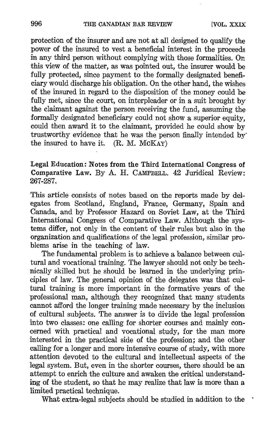protection of the insurer and are not at all designed to qualify the power of the insured to vest a beneficial interest in the proceeds in any third person without complying with those formalities. On this view of the matter, as was pointed out, the insurer would be fully protected, since payment to the formally designated beneficiary would discharge his obligation . On the other hand, the wishes of the insured in regard to the disposition of the money could be fully met, since the court, on interpleader or in a suit brought by the claimant against the person receiving the fund, assuming the formally designated beneficiary could not show a superior equity, could then award it to the claimant, provided he could show by trustworthy evidence that he was the person finally intended by the insured to have it.  $(R. M. MCKAY)$ 

## Legal Education : Notes from the Third International Congress of Comparative Law. By A. H. CAMPBELL. <sup>42</sup> Juridical Review : 267-287.

This article consists of notes based on the reports made by delegates from Scotland, England, France, Germany, Spain and Canada, and by Professor Hazard on Soviet Law, at the Third International Congress of Comparative Law. Although the systems differ, not only in the content of their rules but also in the organization and qualifications of the legal profession, similar problems arise in the teaching of law.

The fundamental problem is to achieve a balance between cultural and vocational training. The lawyer should not only be technically skilled but he should be learned in the underlying prin ciples of law. The general opinion of the delegates was that cultural training is more important in the formative years of the professional man, although they recognized that many students cannot afford the longer training made necessary by the inclusion of cultural subjects. The answer is to divide the legal profession into two classes: one calling for shorter courses and mainly concerned with practical and vocational study, for the man more interested in the practical side of the profession ; and the other calling for a longer and more intensive course of study, with more attention devoted to the cultural and intellectual aspects of the legal system. But, even in the shorter courses, there should be an attempt to enrich the culture and awaken the critical understanding of the student, so that he may realize that law is more than a limited practical technique.

What extra-legal subjects should be studied in addition to the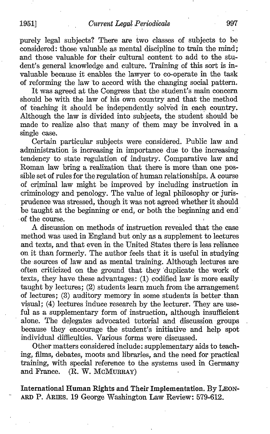purely legal subjects? There are two classes of subjects to be considered: those valuable as mental discipline to train the mind; and those valuable for their cultural content to add to the student's general knowledge and culture. Training of this sort is invaluable because it enables the lawyer to co-operate in the task of reforming the law to accord with the changing social pattern.

It was agreed at the Congress that the student's main concern should be with the law of his own country and that the method of teaching it should be independently solved in each country . Although the law is divided into subjects, the student should be made to realize also that many of them may be involved in a single case.

Certain particular subjects were considered. Public law and administration is increasing in importance due to the increasing tendency to state regulation of industry. Comparative law and Roman law bring a realization that there is more than one possible set of rules for the regulation of human relationships . A course of criminal law might be improved by including instruction in criminology and penology. The value of legal philosophy or jurisprudence was stressed, though it was not agreed whether it should be taught at the beginning or end, or both the beginning and end' of the course.

A discussion on methods of instruction revealed that the case method was used in England but only as a supplement to lectures and texts, and that even in the United States there is less reliance on it than formerly. The author feels that it is useful in studying the sources of law and as mental training. Although lectures are often criticized on the ground that they 'duplicate the work of texts, they have these advantages: (1) codified law is more easily taught by lectures; (2) students learn much from the arrangement of lectures; (3) auditory memory in some students is better than visual; (4) lectures induce research by the lecturer. They are useful as a supplementary form of instruction, although insufficient alone. The delegates advocated tutorial and discussion groups because they encourage the student's initiative and help spot individual difficulties. Various forms were discussed.

Other matters considered include : supplementary aids to teaching, films, debates, moots and libraries, and the need for practical training, with special reference to the systems used in Germany and France. (R. W. McMURRAY)  $(R. W. MCMURARY)$ 

International Human Rights and Their Implementation. By LEON-ARD P. ARIES. 19 George Washington Law Review: 579-612.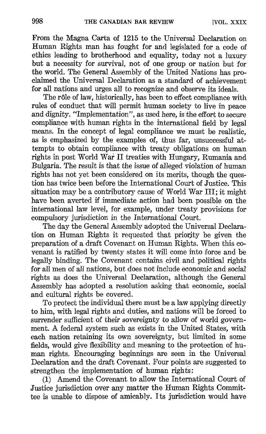From the Magna Carta of 1215 to the Universal Declaration on Human Rights man has fought for and legislated for a code of ethics leading to brotherhood and equality, today not a luxury but a necessity for survival, not of one group or nation but for the world. The General Assembly of the United Nations has proclaimed the Universal Declaration as a standard of achievement for all nations and urges all to recognize and observe its ideals .

The rôle of law, historically, has been to effect compliance with rules of conduct that will permit human society to live in peace and dignity. "Implementation", as used here, is the effort to secure compliance with human rights in the international field by legal means. In the concept of legal compliance we must be realistic, as is emphasized by the examples of, thus far, unsuccessful attempts to obtain compliance with treaty obligations on human rights in post World War II treaties with Hungary, Rumania and Bulgaria . The result is that the issue of alleged violation of human rights has not yet been considered on its merits, though the question has twice been before the International Court of Justice. This situation may be a contributory cause of World War III; it might have been averted if immediate action had been possible on the international law level, for example, under treaty provisions for compulsory jurisdiction in the International Court.

The day the General Assembly adopted the Universal Declaration on Human Rights it requested that priority be given the preparation of a draft Covenant on Human Rights. When this covenant is ratified by twenty states it will come into force and be legally binding. The Covenant contains civil and political rights for all men of all nations, but does not include economic and social rights as does the Universal Declaration, although the General Assembly has adopted a resolution asking that economic, social and cultural rights be covered.

To protect the individual there must be a law applying directly to him, with legal rights and duties, and nations will be forced to surrender sufficient of their sovereignty to allow of world govern ment. A federal system such as exists in the United States, with each nation retaining its own sovereignty, but limited in some fields, would give flexibility and meaning to the protection of human rights. Encouraging beginnings are seen in the Universal Declaration and the draft Covenant. Four points are suggested to strengthen the implementation of human rights :

(1) Amend the Covenant to allow the International Court of Justice jurisdiction over any matter the Human Rights Committee is unable to dispose of amicably. Its jurisdiction would have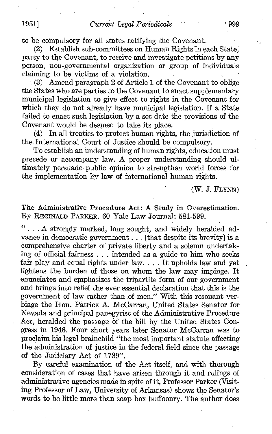to be compulsory for all states ratifying the Covenant.<br>(2) Establish sub-committees on Human Rights in e.

Establish sub-committees on Human Rights in each State. party to the Covenant, to receive and investigate petitions by any person, non-governmental organization or group of individuals claiming to be victims of a violation.

(3) Amend paragraph 2 of Article <sup>1</sup> of the Covenant to oblige the States who are parties to the Covenant to enact supplementary municipal legislation to give effect to rights in the Covenant for which they do not already have municipal legislation . If a State failed to enact such legislation by a set date the provisions of the Covenant would be deemed to take its place.

(4) In all treaties to protect human rights, the jurisdiction of the International Court of Justice should be compulsory.

To establish an understanding of human rights, education must precede or accompany law. A proper understanding should ultimately persuade public opinion to strengthen world forces for the implementation by law of international human rights.

(W. J. FLYNN)

The Administrative Procedure Act: A Study in Overestimation. By REGINALD PARKER. 60 Yale Law Journal: 581-599.

" . . . A strongly marked, long sought, and widely heralded advance in democratic government . . . [that despite its brevity] is a comprehensive charter of private liberty and a solemn undertaking of official fairness . . . intended as a guide to him who seeks fair play and equal rights under law. . . . It upholds law and yet lightens the burden of those on whom the law may impinge. It enunciates and emphasizes the tripartite form of our government and brings into relief the ever essential declaration that this is the government of law rather than of men." With this resonant verbiage the Hon. Patrick A. McCarran, United States Senator for Nevada and principal panegyrist of the Administrative Procedure Act, heralded the passage of the bill by the United States Congress in 1946. Four short years later Senator McCarran was to proclaim his legal brainchild "the most important statute affecting the administration of justice in the federal field since the passage of the Judiciary Act of 1789" .

By careful examination of the Act itself, and with thorough consideration of cases that have arisen through it and rulings of administrative agencies made in spite of it, Professor Parker (Visit ing Professor of Law, University of Arkansas) shows the Senator's words to be little more than soap box buffoonry. The author does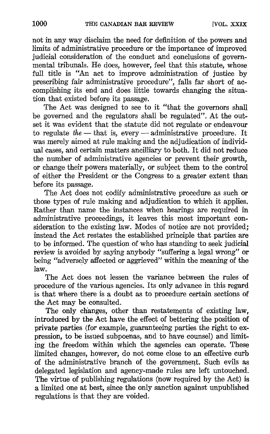not in any way disclaim the need for definition of the powers and limits of administrative procedure or the importance of improved judicial consideration of the conduct and conclusions of governmental tribunals. He does, however, feel that this statute, whose full title is "An act to improve administration of justice by prescribing fair administrative procedure", falls far short of accomplishing its end and does little towards changing the situation that existed before its passage.

The Act was designed to see to it "that the governors shall be governed and the regulators shall be regulated". At the outset it was evident that the statute did not regulate or endeavour to regulate the  $-$  that is, every  $-$  administrative procedure. It was merely aimed at rule making and the adjudication of individual cases, and certain matters ancilliary to both. It did not reduce the number of administrative agencies or prevent their growth, or change their powers materially, or subject them to the control of either the President or the Congress to a greater extent than before its passage.

The Act does not codify administrative procedure as such or those types of rule making and adjudication to which it applies. Rather than name the instances when hearings are required in administrative proceedings, it leaves this most important consideration to the existing law. Modes of notice are not provided: instead the Act restates the established principle that parties are to be informed. The question of who has standing to seek judicial review is avoided by saying anybody "suffering a legal wrong" or being "adversely affected or aggrieved" within the meaning of the law.

The Act does not lessen the variance between the rules of procedure of the various agencies. Its only advance in this regard is that where there is a doubt as to procedure certain sections of the Act may be consulted.

The only changes, other than restatements of existing law, introduced by the Act have the effect of bettering the position of private parties (for example, guaranteeing parties the right to ex pression, to be issued subpoenas, and to have counsel) and limiting the freedom within which the agencies can operate. These limited changes, however, do not come close to an effective curb of the administrative branch of the government. Such evils as delegated legislation and agency-made rules are left untouched. The virtue of publishing regulations (now required by the Act) is a limited one at best, since the only sanction against unpublished regulations is that they are voided.